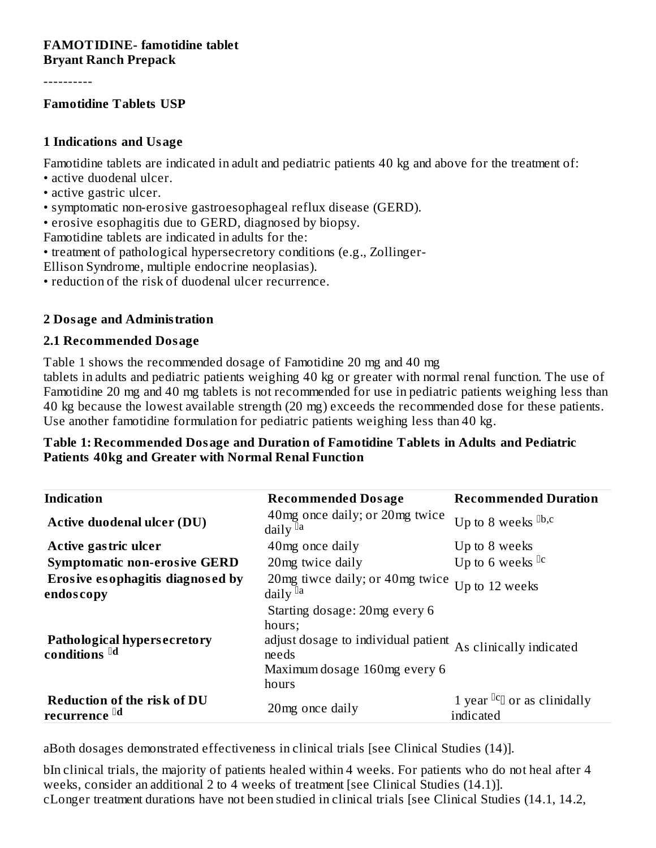#### **FAMOTIDINE- famotidine tablet Bryant Ranch Prepack**

----------

#### **Famotidine Tablets USP**

#### **1 Indications and Usage**

Famotidine tablets are indicated in adult and pediatric patients 40 kg and above for the treatment of:

- active duodenal ulcer.
- active gastric ulcer.
- symptomatic non-erosive gastroesophageal reflux disease (GERD).
- erosive esophagitis due to GERD, diagnosed by biopsy.

Famotidine tablets are indicated in adults for the:

• treatment of pathological hypersecretory conditions (e.g., Zollinger-

Ellison Syndrome, multiple endocrine neoplasias).

• reduction of the risk of duodenal ulcer recurrence.

#### **2 Dosage and Administration**

#### **2.1 Recommended Dosage**

Table 1 shows the recommended dosage of Famotidine 20 mg and 40 mg

tablets in adults and pediatric patients weighing 40 kg or greater with normal renal function. The use of Famotidine 20 mg and 40 mg tablets is not recommended for use in pediatric patients weighing less than 40 kg because the lowest available strength (20 mg) exceeds the recommended dose for these patients. Use another famotidine formulation for pediatric patients weighing less than 40 kg.

#### **Table 1: Recommended Dosage and Duration of Famotidine Tablets in Adults and Pediatric Patients 40kg and Greater with Normal Renal Function**

| <b>Indication</b>                                        | <b>Recommended Dosage</b>                                                                                                        | <b>Recommended Duration</b>                                                                              |
|----------------------------------------------------------|----------------------------------------------------------------------------------------------------------------------------------|----------------------------------------------------------------------------------------------------------|
| <b>Active duodenal ulcer (DU)</b>                        | 40 mg once daily; or 20 mg twice<br>daily $\mathbb{I}^a$                                                                         | Up to 8 weeks $\mathbb{D}$ , $c$                                                                         |
| Active gastric ulcer                                     | 40 mg once daily                                                                                                                 | Up to 8 weeks                                                                                            |
| <b>Symptomatic non-erosive GERD</b>                      | 20mg twice daily                                                                                                                 | Up to 6 weeks <sup>Dc</sup>                                                                              |
| Erosive esophagitis diagnosed by<br>endoscopy            | 20 mg tiwce daily; or 40 mg twice<br>daily $\mathbb{I}^a$                                                                        | Up to 12 weeks                                                                                           |
| Pathological hypersecretory<br>conditions <sup>[d]</sup> | Starting dosage: 20mg every 6<br>hours;<br>adjust dosage to individual patient<br>needs<br>Maximum dosage 160mg every 6<br>hours | As clinically indicated                                                                                  |
| Reduction of the risk of DU<br>recurrence <sup>lld</sup> | 20 mg once daily                                                                                                                 | 1 year ${}^{{}^{{}^{{}}^{{}}^{{}}}}\mathfrak{C}^{{}^{{}}^{{}}^{{}}^{{}}}}$ or as clinidally<br>indicated |

aBoth dosages demonstrated effectiveness in clinical trials [see Clinical Studies (14)].

bIn clinical trials, the majority of patients healed within 4 weeks. For patients who do not heal after 4 weeks, consider an additional 2 to 4 weeks of treatment [see Clinical Studies (14.1)]. cLonger treatment durations have not been studied in clinical trials [see Clinical Studies (14.1, 14.2,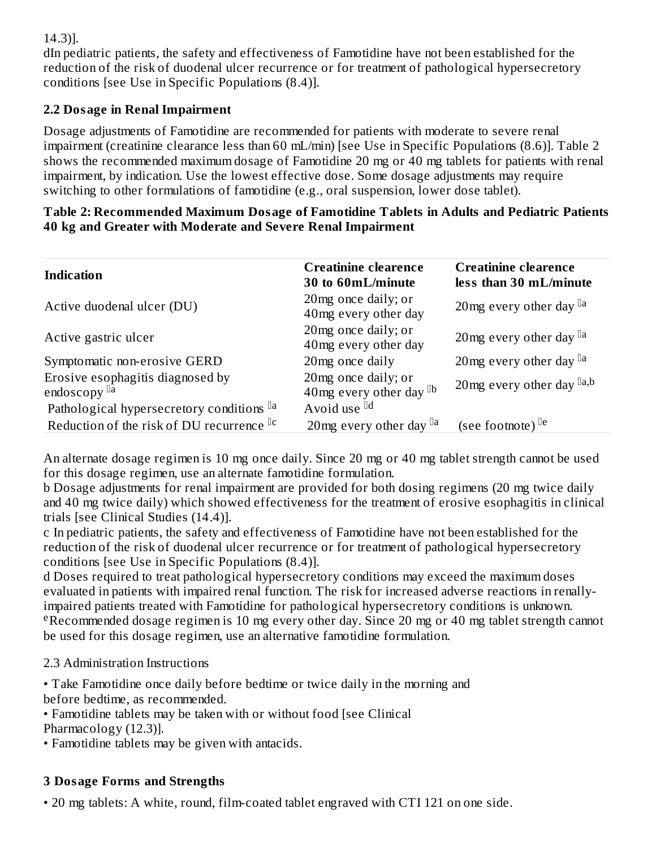### 14.3)].

dIn pediatric patients, the safety and effectiveness of Famotidine have not been established for the reduction of the risk of duodenal ulcer recurrence or for treatment of pathological hypersecretory conditions [see Use in Specific Populations (8.4)].

### **2.2 Dosage in Renal Impairment**

Dosage adjustments of Famotidine are recommended for patients with moderate to severe renal impairment (creatinine clearance less than 60 mL/min) [see Use in Specific Populations (8.6)]. Table 2 shows the recommended maximum dosage of Famotidine 20 mg or 40 mg tablets for patients with renal impairment, by indication. Use the lowest effective dose. Some dosage adjustments may require switching to other formulations of famotidine (e.g., oral suspension, lower dose tablet).

| Table 2: Recommended Maximum Dosage of Famotidine Tablets in Adults and Pediatric Patients |
|--------------------------------------------------------------------------------------------|
| 40 kg and Greater with Moderate and Severe Renal Impairment                                |

| <b>Indication</b>                                           | <b>Creatinine clearence</b><br>30 to 60mL/minute    | <b>Creatinine clearence</b><br>less than 30 mL/minute |
|-------------------------------------------------------------|-----------------------------------------------------|-------------------------------------------------------|
| Active duodenal ulcer (DU)                                  | 20mg once daily; or<br>40mg every other day         | 20 mg every other day $a$                             |
| Active gastric ulcer                                        | 20mg once daily; or<br>40mg every other day         | 20mg every other day $\mathbb{I}^{\text{a}}$          |
| Symptomatic non-erosive GERD                                | 20mg once daily                                     | 20mg every other day $a$                              |
| Erosive esophagitis diagnosed by<br>endoscopy <sup>la</sup> | 20mg once daily; or<br>40mg every other day $^{1b}$ | 20 mg every other day $[a,b]$                         |
| Pathological hypersecretory conditions la                   | Avoid use <sup>[d]</sup>                            |                                                       |
| Reduction of the risk of DU recurrence <sup>Dc</sup>        | 20 mg every other day $\mathbb{I}^{\text{a}}$       | (see footnote) $[Fe]$                                 |

An alternate dosage regimen is 10 mg once daily. Since 20 mg or 40 mg tablet strength cannot be used for this dosage regimen, use an alternate famotidine formulation.

b Dosage adjustments for renal impairment are provided for both dosing regimens (20 mg twice daily and 40 mg twice daily) which showed effectiveness for the treatment of erosive esophagitis in clinical trials [see Clinical Studies (14.4)].

c In pediatric patients, the safety and effectiveness of Famotidine have not been established for the reduction of the risk of duodenal ulcer recurrence or for treatment of pathological hypersecretory conditions [see Use in Specific Populations (8.4)].

d Doses required to treat pathological hypersecretory conditions may exceed the maximum doses evaluated in patients with impaired renal function. The risk for increased adverse reactions in renallyimpaired patients treated with Famotidine for pathological hypersecretory conditions is unknown. eRecommended dosage regimen is 10 mg every other day. Since 20 mg or 40 mg tablet strength cannot be used for this dosage regimen, use an alternative famotidine formulation.

2.3 Administration Instructions

• Take Famotidine once daily before bedtime or twice daily in the morning and before bedtime, as recommended.

- Famotidine tablets may be taken with or without food [see Clinical Pharmacology (12.3)].
- Famotidine tablets may be given with antacids.

## **3 Dosage Forms and Strengths**

• 20 mg tablets: A white, round, film-coated tablet engraved with CTI 121 on one side.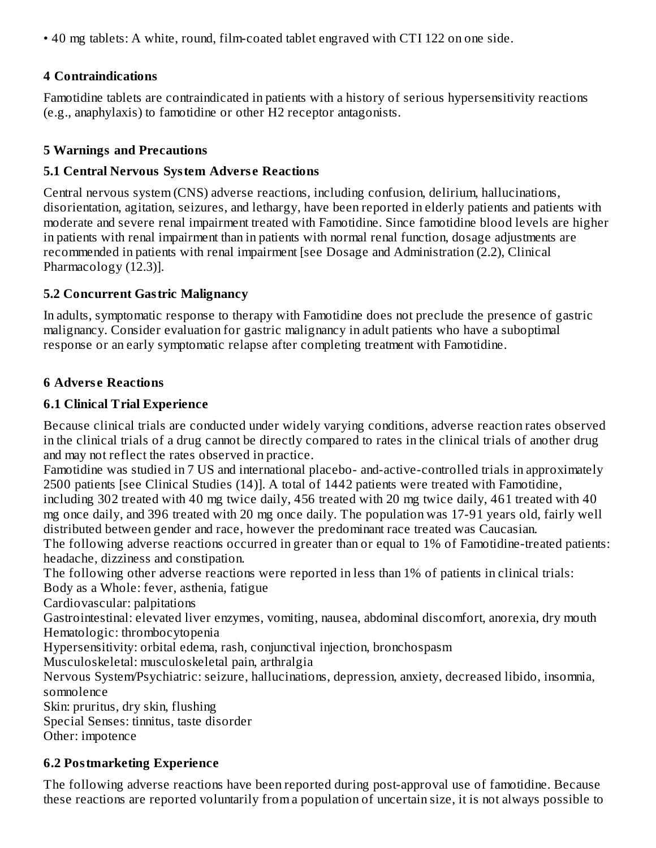• 40 mg tablets: A white, round, film-coated tablet engraved with CTI 122 on one side.

### **4 Contraindications**

Famotidine tablets are contraindicated in patients with a history of serious hypersensitivity reactions (e.g., anaphylaxis) to famotidine or other H2 receptor antagonists.

### **5 Warnings and Precautions**

### **5.1 Central Nervous System Advers e Reactions**

Central nervous system (CNS) adverse reactions, including confusion, delirium, hallucinations, disorientation, agitation, seizures, and lethargy, have been reported in elderly patients and patients with moderate and severe renal impairment treated with Famotidine. Since famotidine blood levels are higher in patients with renal impairment than in patients with normal renal function, dosage adjustments are recommended in patients with renal impairment [see Dosage and Administration (2.2), Clinical Pharmacology (12.3)].

### **5.2 Concurrent Gastric Malignancy**

In adults, symptomatic response to therapy with Famotidine does not preclude the presence of gastric malignancy. Consider evaluation for gastric malignancy in adult patients who have a suboptimal response or an early symptomatic relapse after completing treatment with Famotidine.

### **6 Advers e Reactions**

### **6.1 Clinical Trial Experience**

Because clinical trials are conducted under widely varying conditions, adverse reaction rates observed in the clinical trials of a drug cannot be directly compared to rates in the clinical trials of another drug and may not reflect the rates observed in practice.

Famotidine was studied in 7 US and international placebo- and-active-controlled trials in approximately 2500 patients [see Clinical Studies (14)]. A total of 1442 patients were treated with Famotidine,

including 302 treated with 40 mg twice daily, 456 treated with 20 mg twice daily, 461 treated with 40 mg once daily, and 396 treated with 20 mg once daily. The population was 17-91 years old, fairly well distributed between gender and race, however the predominant race treated was Caucasian.

The following adverse reactions occurred in greater than or equal to 1% of Famotidine-treated patients: headache, dizziness and constipation.

The following other adverse reactions were reported in less than 1% of patients in clinical trials:

Body as a Whole: fever, asthenia, fatigue

Cardiovascular: palpitations

Gastrointestinal: elevated liver enzymes, vomiting, nausea, abdominal discomfort, anorexia, dry mouth Hematologic: thrombocytopenia

Hypersensitivity: orbital edema, rash, conjunctival injection, bronchospasm

Musculoskeletal: musculoskeletal pain, arthralgia

Nervous System/Psychiatric: seizure, hallucinations, depression, anxiety, decreased libido, insomnia, somnolence

Skin: pruritus, dry skin, flushing

Special Senses: tinnitus, taste disorder

Other: impotence

### **6.2 Postmarketing Experience**

The following adverse reactions have been reported during post-approval use of famotidine. Because these reactions are reported voluntarily from a population of uncertain size, it is not always possible to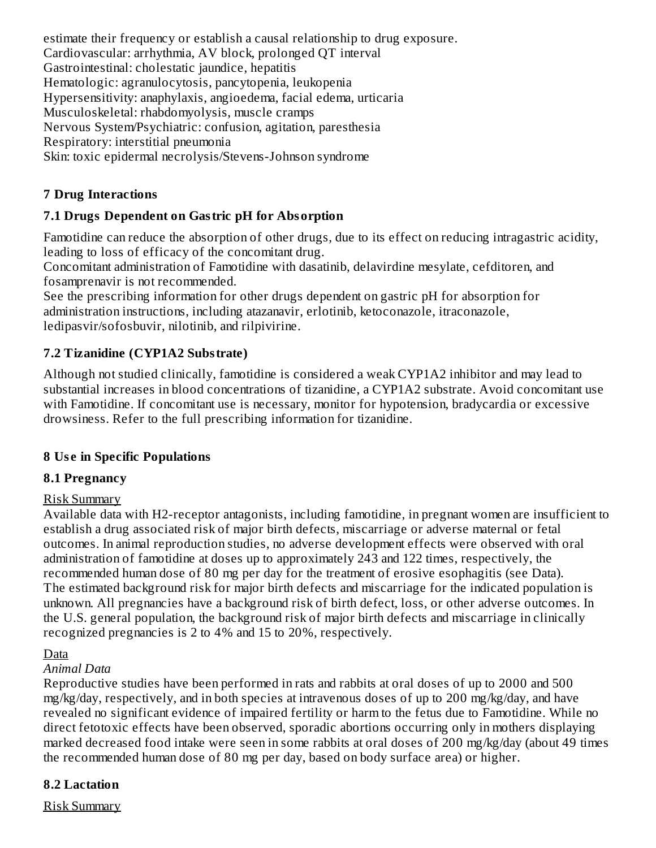estimate their frequency or establish a causal relationship to drug exposure. Cardiovascular: arrhythmia, AV block, prolonged QT interval Gastrointestinal: cholestatic jaundice, hepatitis Hematologic: agranulocytosis, pancytopenia, leukopenia Hypersensitivity: anaphylaxis, angioedema, facial edema, urticaria Musculoskeletal: rhabdomyolysis, muscle cramps Nervous System/Psychiatric: confusion, agitation, paresthesia Respiratory: interstitial pneumonia Skin: toxic epidermal necrolysis/Stevens-Johnson syndrome

### **7 Drug Interactions**

### **7.1 Drugs Dependent on Gastric pH for Absorption**

Famotidine can reduce the absorption of other drugs, due to its effect on reducing intragastric acidity, leading to loss of efficacy of the concomitant drug.

Concomitant administration of Famotidine with dasatinib, delavirdine mesylate, cefditoren, and fosamprenavir is not recommended.

See the prescribing information for other drugs dependent on gastric pH for absorption for administration instructions, including atazanavir, erlotinib, ketoconazole, itraconazole, ledipasvir/sofosbuvir, nilotinib, and rilpivirine.

### **7.2 Tizanidine (CYP1A2 Substrate)**

Although not studied clinically, famotidine is considered a weak CYP1A2 inhibitor and may lead to substantial increases in blood concentrations of tizanidine, a CYP1A2 substrate. Avoid concomitant use with Famotidine. If concomitant use is necessary, monitor for hypotension, bradycardia or excessive drowsiness. Refer to the full prescribing information for tizanidine.

#### **8 Us e in Specific Populations**

### **8.1 Pregnancy**

#### Risk Summary

Available data with H2-receptor antagonists, including famotidine, in pregnant women are insufficient to establish a drug associated risk of major birth defects, miscarriage or adverse maternal or fetal outcomes. In animal reproduction studies, no adverse development effects were observed with oral administration of famotidine at doses up to approximately 243 and 122 times, respectively, the recommended human dose of 80 mg per day for the treatment of erosive esophagitis (see Data). The estimated background risk for major birth defects and miscarriage for the indicated population is unknown. All pregnancies have a background risk of birth defect, loss, or other adverse outcomes. In the U.S. general population, the background risk of major birth defects and miscarriage in clinically recognized pregnancies is 2 to 4% and 15 to 20%, respectively.

#### **Data**

#### *Animal Data*

Reproductive studies have been performed in rats and rabbits at oral doses of up to 2000 and 500 mg/kg/day, respectively, and in both species at intravenous doses of up to 200 mg/kg/day, and have revealed no significant evidence of impaired fertility or harm to the fetus due to Famotidine. While no direct fetotoxic effects have been observed, sporadic abortions occurring only in mothers displaying marked decreased food intake were seen in some rabbits at oral doses of 200 mg/kg/day (about 49 times the recommended human dose of 80 mg per day, based on body surface area) or higher.

#### **8.2 Lactation**

Risk Summary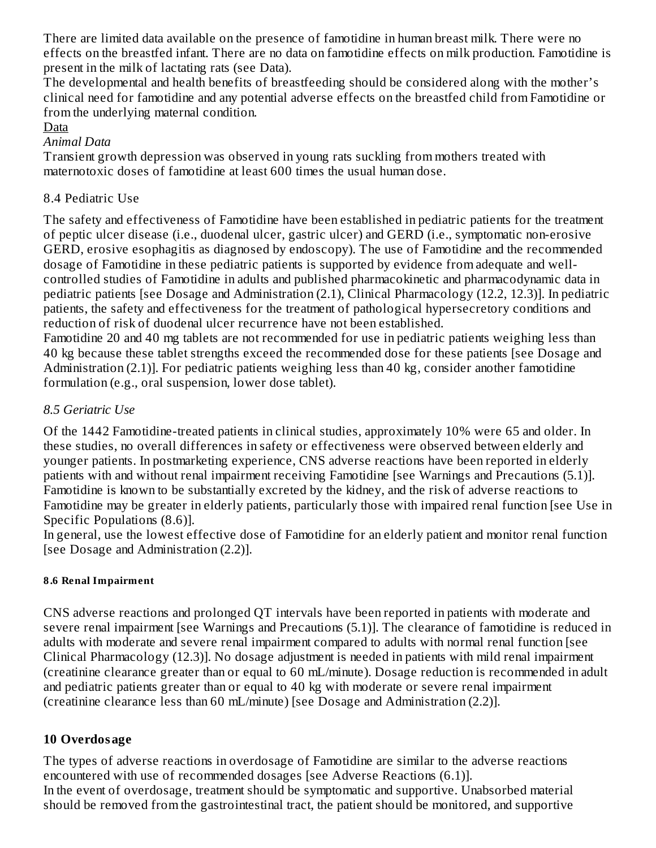There are limited data available on the presence of famotidine in human breast milk. There were no effects on the breastfed infant. There are no data on famotidine effects on milk production. Famotidine is present in the milk of lactating rats (see Data).

The developmental and health benefits of breastfeeding should be considered along with the mother's clinical need for famotidine and any potential adverse effects on the breastfed child from Famotidine or from the underlying maternal condition.

#### Data

#### *Animal Data*

Transient growth depression was observed in young rats suckling from mothers treated with maternotoxic doses of famotidine at least 600 times the usual human dose.

#### 8.4 Pediatric Use

The safety and effectiveness of Famotidine have been established in pediatric patients for the treatment of peptic ulcer disease (i.e., duodenal ulcer, gastric ulcer) and GERD (i.e., symptomatic non-erosive GERD, erosive esophagitis as diagnosed by endoscopy). The use of Famotidine and the recommended dosage of Famotidine in these pediatric patients is supported by evidence from adequate and wellcontrolled studies of Famotidine in adults and published pharmacokinetic and pharmacodynamic data in pediatric patients [see Dosage and Administration (2.1), Clinical Pharmacology (12.2, 12.3)]. In pediatric patients, the safety and effectiveness for the treatment of pathological hypersecretory conditions and reduction of risk of duodenal ulcer recurrence have not been established.

Famotidine 20 and 40 mg tablets are not recommended for use in pediatric patients weighing less than 40 kg because these tablet strengths exceed the recommended dose for these patients [see Dosage and Administration (2.1)]. For pediatric patients weighing less than 40 kg, consider another famotidine formulation (e.g., oral suspension, lower dose tablet).

#### *8.5 Geriatric Use*

Of the 1442 Famotidine-treated patients in clinical studies, approximately 10% were 65 and older. In these studies, no overall differences in safety or effectiveness were observed between elderly and younger patients. In postmarketing experience, CNS adverse reactions have been reported in elderly patients with and without renal impairment receiving Famotidine [see Warnings and Precautions (5.1)]. Famotidine is known to be substantially excreted by the kidney, and the risk of adverse reactions to Famotidine may be greater in elderly patients, particularly those with impaired renal function [see Use in Specific Populations (8.6)].

In general, use the lowest effective dose of Famotidine for an elderly patient and monitor renal function [see Dosage and Administration (2.2)].

#### **8.6 Renal Impairment**

CNS adverse reactions and prolonged QT intervals have been reported in patients with moderate and severe renal impairment [see Warnings and Precautions (5.1)]. The clearance of famotidine is reduced in adults with moderate and severe renal impairment compared to adults with normal renal function [see Clinical Pharmacology (12.3)]. No dosage adjustment is needed in patients with mild renal impairment (creatinine clearance greater than or equal to 60 mL/minute). Dosage reduction is recommended in adult and pediatric patients greater than or equal to 40 kg with moderate or severe renal impairment (creatinine clearance less than 60 mL/minute) [see Dosage and Administration (2.2)].

#### **10 Overdosage**

The types of adverse reactions in overdosage of Famotidine are similar to the adverse reactions encountered with use of recommended dosages [see Adverse Reactions (6.1)]. In the event of overdosage, treatment should be symptomatic and supportive. Unabsorbed material should be removed from the gastrointestinal tract, the patient should be monitored, and supportive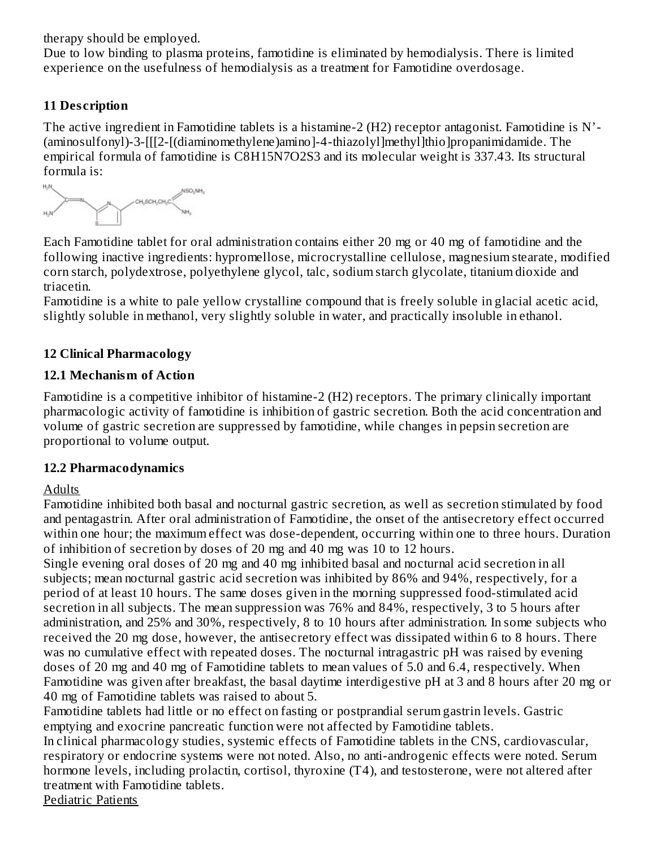therapy should be employed.

Due to low binding to plasma proteins, famotidine is eliminated by hemodialysis. There is limited experience on the usefulness of hemodialysis as a treatment for Famotidine overdosage.

# **11 Des cription**

The active ingredient in Famotidine tablets is a histamine-2 (H2) receptor antagonist. Famotidine is N'- (aminosulfonyl)-3-[[[2-[(diaminomethylene)amino]-4-thiazolyl]methyl]thio]propanimidamide. The empirical formula of famotidine is C8H15N7O2S3 and its molecular weight is 337.43. Its structural formula is:



Each Famotidine tablet for oral administration contains either 20 mg or 40 mg of famotidine and the following inactive ingredients: hypromellose, microcrystalline cellulose, magnesium stearate, modified corn starch, polydextrose, polyethylene glycol, talc, sodium starch glycolate, titanium dioxide and triacetin.

Famotidine is a white to pale yellow crystalline compound that is freely soluble in glacial acetic acid, slightly soluble in methanol, very slightly soluble in water, and practically insoluble in ethanol.

### **12 Clinical Pharmacology**

### **12.1 Mechanism of Action**

Famotidine is a competitive inhibitor of histamine-2 (H2) receptors. The primary clinically important pharmacologic activity of famotidine is inhibition of gastric secretion. Both the acid concentration and volume of gastric secretion are suppressed by famotidine, while changes in pepsin secretion are proportional to volume output.

### **12.2 Pharmacodynamics**

### Adults

Famotidine inhibited both basal and nocturnal gastric secretion, as well as secretion stimulated by food and pentagastrin. After oral administration of Famotidine, the onset of the antisecretory effect occurred within one hour; the maximum effect was dose-dependent, occurring within one to three hours. Duration of inhibition of secretion by doses of 20 mg and 40 mg was 10 to 12 hours.

Single evening oral doses of 20 mg and 40 mg inhibited basal and nocturnal acid secretion in all subjects; mean nocturnal gastric acid secretion was inhibited by 86% and 94%, respectively, for a period of at least 10 hours. The same doses given in the morning suppressed food-stimulated acid secretion in all subjects. The mean suppression was 76% and 84%, respectively, 3 to 5 hours after administration, and 25% and 30%, respectively, 8 to 10 hours after administration. In some subjects who received the 20 mg dose, however, the antisecretory effect was dissipated within 6 to 8 hours. There was no cumulative effect with repeated doses. The nocturnal intragastric pH was raised by evening doses of 20 mg and 40 mg of Famotidine tablets to mean values of 5.0 and 6.4, respectively. When Famotidine was given after breakfast, the basal daytime interdigestive pH at 3 and 8 hours after 20 mg or 40 mg of Famotidine tablets was raised to about 5.

Famotidine tablets had little or no effect on fasting or postprandial serum gastrin levels. Gastric emptying and exocrine pancreatic function were not affected by Famotidine tablets.

In clinical pharmacology studies, systemic effects of Famotidine tablets in the CNS, cardiovascular, respiratory or endocrine systems were not noted. Also, no anti-androgenic effects were noted. Serum hormone levels, including prolactin, cortisol, thyroxine (T4), and testosterone, were not altered after treatment with Famotidine tablets.

Pediatric Patients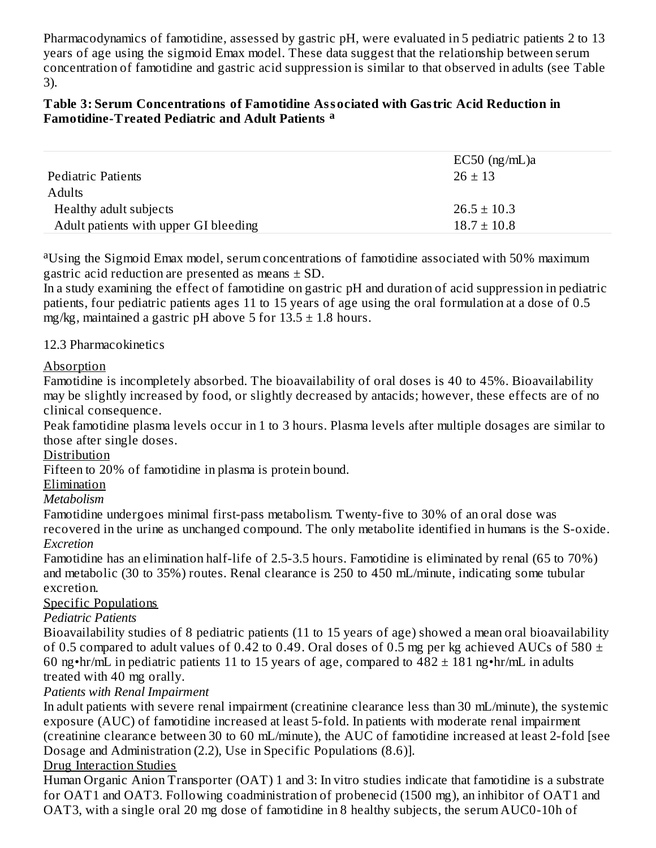Pharmacodynamics of famotidine, assessed by gastric pH, were evaluated in 5 pediatric patients 2 to 13 years of age using the sigmoid Emax model. These data suggest that the relationship between serum concentration of famotidine and gastric acid suppression is similar to that observed in adults (see Table 3).

#### **Table 3: Serum Concentrations of Famotidine Associated with Gastric Acid Reduction in Famotidine-Treated Pediatric and Adult Patients a**

|                                       | $EC50$ (ng/mL)a |
|---------------------------------------|-----------------|
| Pediatric Patients                    | $26 \pm 13$     |
| <b>Adults</b>                         |                 |
| Healthy adult subjects                | $26.5 \pm 10.3$ |
| Adult patients with upper GI bleeding | $18.7 \pm 10.8$ |

<sup>a</sup>Using the Sigmoid Emax model, serum concentrations of famotidine associated with 50% maximum gastric acid reduction are presented as means  $\pm$  SD.

In a study examining the effect of famotidine on gastric pH and duration of acid suppression in pediatric patients, four pediatric patients ages 11 to 15 years of age using the oral formulation at a dose of 0.5 mg/kg, maintained a gastric pH above 5 for  $13.5 \pm 1.8$  hours.

### 12.3 Pharmacokinetics

#### Absorption

Famotidine is incompletely absorbed. The bioavailability of oral doses is 40 to 45%. Bioavailability may be slightly increased by food, or slightly decreased by antacids; however, these effects are of no clinical consequence.

Peak famotidine plasma levels occur in 1 to 3 hours. Plasma levels after multiple dosages are similar to those after single doses.

#### Distribution

Fifteen to 20% of famotidine in plasma is protein bound.

#### Elimination

*Metabolism*

Famotidine undergoes minimal first-pass metabolism. Twenty-five to 30% of an oral dose was recovered in the urine as unchanged compound. The only metabolite identified in humans is the S-oxide. *Excretion*

Famotidine has an elimination half-life of 2.5-3.5 hours. Famotidine is eliminated by renal (65 to 70%) and metabolic (30 to 35%) routes. Renal clearance is 250 to 450 mL/minute, indicating some tubular excretion.

### Specific Populations

### *Pediatric Patients*

Bioavailability studies of 8 pediatric patients (11 to 15 years of age) showed a mean oral bioavailability of 0.5 compared to adult values of 0.42 to 0.49. Oral doses of 0.5 mg per kg achieved AUCs of 580  $\pm$ 60 ng•hr/mL in pediatric patients 11 to 15 years of age, compared to  $482 \pm 181$  ng•hr/mL in adults treated with 40 mg orally.

#### *Patients with Renal Impairment*

In adult patients with severe renal impairment (creatinine clearance less than 30 mL/minute), the systemic exposure (AUC) of famotidine increased at least 5-fold. In patients with moderate renal impairment (creatinine clearance between 30 to 60 mL/minute), the AUC of famotidine increased at least 2-fold [see Dosage and Administration (2.2), Use in Specific Populations (8.6)].

#### Drug Interaction Studies

Human Organic Anion Transporter (OAT) 1 and 3: In vitro studies indicate that famotidine is a substrate for OAT1 and OAT3. Following coadministration of probenecid (1500 mg), an inhibitor of OAT1 and OAT3, with a single oral 20 mg dose of famotidine in 8 healthy subjects, the serum AUC0-10h of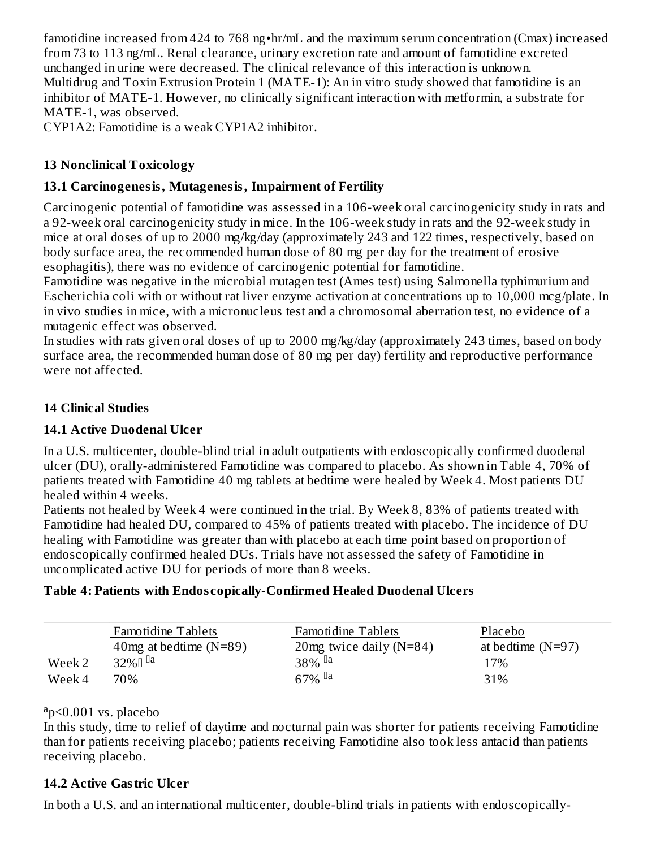famotidine increased from 424 to 768 ng•hr/mL and the maximum serum concentration (Cmax) increased from 73 to 113 ng/mL. Renal clearance, urinary excretion rate and amount of famotidine excreted unchanged in urine were decreased. The clinical relevance of this interaction is unknown. Multidrug and Toxin Extrusion Protein 1 (MATE-1): An in vitro study showed that famotidine is an inhibitor of MATE-1. However, no clinically significant interaction with metformin, a substrate for MATE-1, was observed.

CYP1A2: Famotidine is a weak CYP1A2 inhibitor.

### **13 Nonclinical Toxicology**

### **13.1 Carcinogenesis, Mutagenesis, Impairment of Fertility**

Carcinogenic potential of famotidine was assessed in a 106-week oral carcinogenicity study in rats and a 92-week oral carcinogenicity study in mice. In the 106-week study in rats and the 92-week study in mice at oral doses of up to 2000 mg/kg/day (approximately 243 and 122 times, respectively, based on body surface area, the recommended human dose of 80 mg per day for the treatment of erosive esophagitis), there was no evidence of carcinogenic potential for famotidine.

Famotidine was negative in the microbial mutagen test (Ames test) using Salmonella typhimurium and Escherichia coli with or without rat liver enzyme activation at concentrations up to 10,000 mcg/plate. In in vivo studies in mice, with a micronucleus test and a chromosomal aberration test, no evidence of a mutagenic effect was observed.

In studies with rats given oral doses of up to 2000 mg/kg/day (approximately 243 times, based on body surface area, the recommended human dose of 80 mg per day) fertility and reproductive performance were not affected.

### **14 Clinical Studies**

### **14.1 Active Duodenal Ulcer**

In a U.S. multicenter, double-blind trial in adult outpatients with endoscopically confirmed duodenal ulcer (DU), orally-administered Famotidine was compared to placebo. As shown in Table 4, 70% of patients treated with Famotidine 40 mg tablets at bedtime were healed by Week 4. Most patients DU healed within 4 weeks.

Patients not healed by Week 4 were continued in the trial. By Week 8, 83% of patients treated with Famotidine had healed DU, compared to 45% of patients treated with placebo. The incidence of DU healing with Famotidine was greater than with placebo at each time point based on proportion of endoscopically confirmed healed DUs. Trials have not assessed the safety of Famotidine in uncomplicated active DU for periods of more than 8 weeks.

#### **Table 4: Patients with Endos copically-Confirmed Healed Duodenal Ulcers**

|        | <b>Famotidine Tablets</b> | <b>Famotidine Tablets</b>  | Placebo             |
|--------|---------------------------|----------------------------|---------------------|
|        | 40 mg at bedtime $(N=89)$ | 20 mg twice daily $(N=84)$ | at bedtime $(N=97)$ |
| Week 2 | 32% $\Box$ la             | $38\%$ <sup>[a]</sup>      | 17%                 |
| Week 4 | 70%                       | 67% <sup>la</sup>          | 31%                 |

#### <sup>a</sup>p<0.001 vs. placebo

In this study, time to relief of daytime and nocturnal pain was shorter for patients receiving Famotidine than for patients receiving placebo; patients receiving Famotidine also took less antacid than patients receiving placebo.

#### **14.2 Active Gastric Ulcer**

In both a U.S. and an international multicenter, double-blind trials in patients with endoscopically-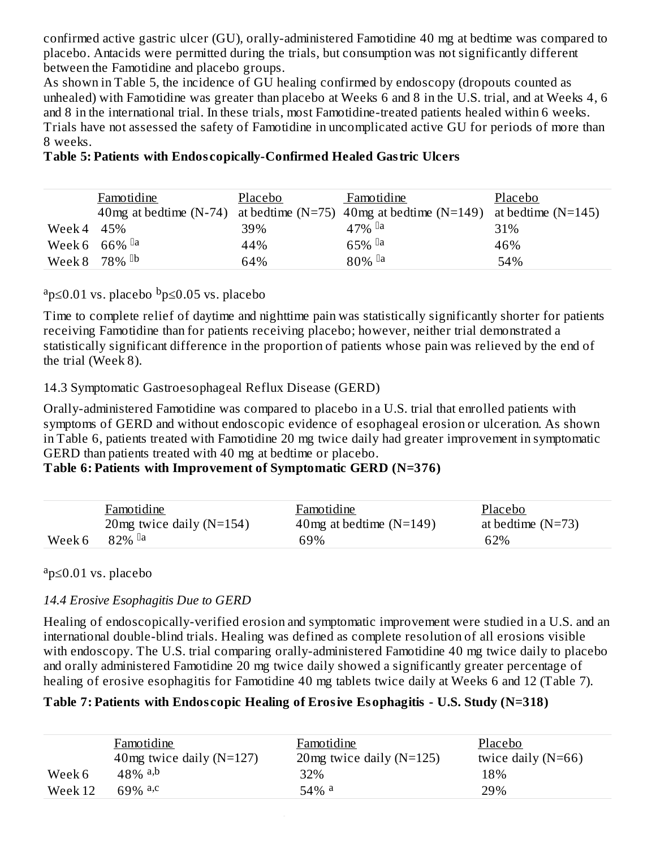confirmed active gastric ulcer (GU), orally-administered Famotidine 40 mg at bedtime was compared to placebo. Antacids were permitted during the trials, but consumption was not significantly different between the Famotidine and placebo groups.

As shown in Table 5, the incidence of GU healing confirmed by endoscopy (dropouts counted as unhealed) with Famotidine was greater than placebo at Weeks 6 and 8 in the U.S. trial, and at Weeks 4, 6 and 8 in the international trial. In these trials, most Famotidine-treated patients healed within 6 weeks. Trials have not assessed the safety of Famotidine in uncomplicated active GU for periods of more than 8 weeks.

|            | Famotidine                    | Placebo | Famotidine                                                                            | Placebo |
|------------|-------------------------------|---------|---------------------------------------------------------------------------------------|---------|
|            |                               |         | 40 mg at bedtime (N-74) at bedtime (N=75) 40 mg at bedtime (N=149) at bedtime (N=145) |         |
| Week 4 45% |                               | 39%     | $47\%$ <sup>la</sup>                                                                  | 31%     |
|            | Week 6 $66\%$ <sup>[la]</sup> | 44%     | $65\%$ <sup>[]a</sup>                                                                 | 46%     |
|            | Week 8 78% <sup>Db</sup>      | 64%     | $80\%$ <sup>la</sup>                                                                  | 54%     |

### **Table 5: Patients with Endos copically-Confirmed Healed Gastric Ulcers**

### <sup>a</sup>p≤0.01 vs. placebo <sup>b</sup>p≤0.05 vs. placebo

Time to complete relief of daytime and nighttime pain was statistically significantly shorter for patients receiving Famotidine than for patients receiving placebo; however, neither trial demonstrated a statistically significant difference in the proportion of patients whose pain was relieved by the end of the trial (Week 8).

### 14.3 Symptomatic Gastroesophageal Reflux Disease (GERD)

Orally-administered Famotidine was compared to placebo in a U.S. trial that enrolled patients with symptoms of GERD and without endoscopic evidence of esophageal erosion or ulceration. As shown in Table 6, patients treated with Famotidine 20 mg twice daily had greater improvement in symptomatic GERD than patients treated with 40 mg at bedtime or placebo.

#### **Table 6: Patients with Improvement of Symptomatic GERD (N=376)**

|        | Famotidine                  | Famotidine                 | Placebo             |
|--------|-----------------------------|----------------------------|---------------------|
|        | 20 mg twice daily $(N=154)$ | 40 mg at bedtime $(N=149)$ | at bedtime $(N=73)$ |
| Week 6 | $82\%$ <sup>[a]</sup>       | 69%                        | 62%                 |

<sup>a</sup>p≤0.01 vs. placebo

### *14.4 Erosive Esophagitis Due to GERD*

a b

Healing of endoscopically-verified erosion and symptomatic improvement were studied in a U.S. and an international double-blind trials. Healing was defined as complete resolution of all erosions visible with endoscopy. The U.S. trial comparing orally-administered Famotidine 40 mg twice daily to placebo and orally administered Famotidine 20 mg twice daily showed a significantly greater percentage of healing of erosive esophagitis for Famotidine 40 mg tablets twice daily at Weeks 6 and 12 (Table 7).

### **Table 7: Patients with Endos copic Healing of Erosive Esophagitis - U.S. Study (N=318)**

|         | Famotidine                 | Famotidine                  | Placebo              |
|---------|----------------------------|-----------------------------|----------------------|
|         | 40mg twice daily $(N=127)$ | 20 mg twice daily $(N=125)$ | twice daily $(N=66)$ |
| Week 6  | $48\%$ a,b                 | 32%                         | 18%                  |
| Week 12 | 69% a,c                    | $54\%$ <sup>a</sup>         | 29%                  |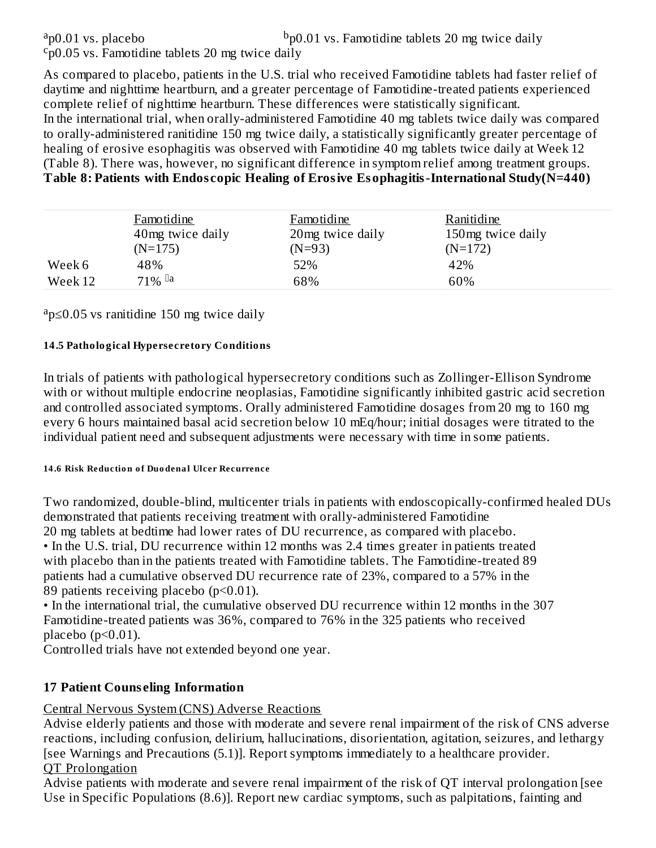$a$ <sub>p</sub> $0.01$  vs. placebo

 $\epsilon_{\text{p}}$ 0.05 vs. Famotidine tablets 20 mg twice daily

As compared to placebo, patients in the U.S. trial who received Famotidine tablets had faster relief of daytime and nighttime heartburn, and a greater percentage of Famotidine-treated patients experienced complete relief of nighttime heartburn. These differences were statistically significant. In the international trial, when orally-administered Famotidine 40 mg tablets twice daily was compared to orally-administered ranitidine 150 mg twice daily, a statistically significantly greater percentage of healing of erosive esophagitis was observed with Famotidine 40 mg tablets twice daily at Week 12 (Table 8). There was, however, no significant difference in symptom relief among treatment groups. **Table 8: Patients with Endos copic Healing of Erosive Esophagitis-International Study(N=440)**

|         | Famotidine       | Famotidine        | Ranitidine        |  |
|---------|------------------|-------------------|-------------------|--|
|         | 40mg twice daily | 20 mg twice daily | 150mg twice daily |  |
|         | $(N=175)$        | $(N=93)$          | $(N=172)$         |  |
| Week 6  | 48%              | 52%               | 42%               |  |
| Week 12 | $71\%$ la        | 68%               | 60%               |  |
|         |                  |                   |                   |  |

 $a$ <sub>p</sub> $\leq$ 0.05 vs ranitidine 150 mg twice daily

#### **14.5 Pathological Hypersecretory Conditions**

In trials of patients with pathological hypersecretory conditions such as Zollinger-Ellison Syndrome with or without multiple endocrine neoplasias, Famotidine significantly inhibited gastric acid secretion and controlled associated symptoms. Orally administered Famotidine dosages from 20 mg to 160 mg every 6 hours maintained basal acid secretion below 10 mEq/hour; initial dosages were titrated to the individual patient need and subsequent adjustments were necessary with time in some patients.

#### **14 .6 Risk Reductio n o f Duo dena l Ulcer Recurrence**

Two randomized, double-blind, multicenter trials in patients with endoscopically-confirmed healed DUs demonstrated that patients receiving treatment with orally-administered Famotidine 20 mg tablets at bedtime had lower rates of DU recurrence, as compared with placebo.

• In the U.S. trial, DU recurrence within 12 months was 2.4 times greater in patients treated with placebo than in the patients treated with Famotidine tablets. The Famotidine-treated 89 patients had a cumulative observed DU recurrence rate of 23%, compared to a 57% in the 89 patients receiving placebo (p<0.01).

• In the international trial, the cumulative observed DU recurrence within 12 months in the 307 Famotidine-treated patients was 36%, compared to 76% in the 325 patients who received placebo ( $p<0.01$ ).

Controlled trials have not extended beyond one year.

### **17 Patient Couns eling Information**

Central Nervous System (CNS) Adverse Reactions

Advise elderly patients and those with moderate and severe renal impairment of the risk of CNS adverse reactions, including confusion, delirium, hallucinations, disorientation, agitation, seizures, and lethargy [see Warnings and Precautions (5.1)]. Report symptoms immediately to a healthcare provider. QT Prolongation

Advise patients with moderate and severe renal impairment of the risk of QT interval prolongation [see Use in Specific Populations (8.6)]. Report new cardiac symptoms, such as palpitations, fainting and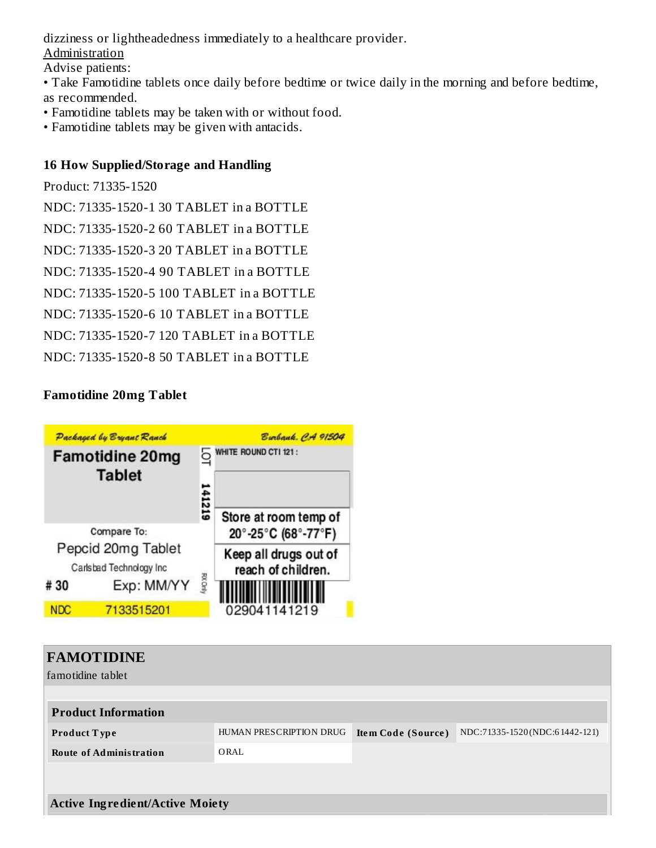dizziness or lightheadedness immediately to a healthcare provider.

**Administration** 

Advise patients:

• Take Famotidine tablets once daily before bedtime or twice daily in the morning and before bedtime, as recommended.

- Famotidine tablets may be taken with or without food.
- Famotidine tablets may be given with antacids.

### **16 How Supplied/Storage and Handling**

Product: 71335-1520

NDC: 71335-1520-1 30 TABLET in a BOTTLE

NDC: 71335-1520-2 60 TABLET in a BOTTLE

NDC: 71335-1520-3 20 TABLET in a BOTTLE

NDC: 71335-1520-4 90 TABLET in a BOTTLE

NDC: 71335-1520-5 100 TABLET in a BOTTLE

NDC: 71335-1520-6 10 TABLET in a BOTTLE

NDC: 71335-1520-7 120 TABLET in a BOTTLE

NDC: 71335-1520-8 50 TABLET in a BOTTLE

# **Famotidine 20mg Tablet**



| <b>FAMOTIDINE</b>                      |                         |                           |                               |
|----------------------------------------|-------------------------|---------------------------|-------------------------------|
| famotidine tablet                      |                         |                           |                               |
|                                        |                         |                           |                               |
| <b>Product Information</b>             |                         |                           |                               |
| <b>Product Type</b>                    | HUMAN PRESCRIPTION DRUG | <b>Item Code (Source)</b> | NDC:71335-1520(NDC:61442-121) |
| <b>Route of Administration</b>         | ORAL                    |                           |                               |
|                                        |                         |                           |                               |
|                                        |                         |                           |                               |
| <b>Active Ingredient/Active Moiety</b> |                         |                           |                               |